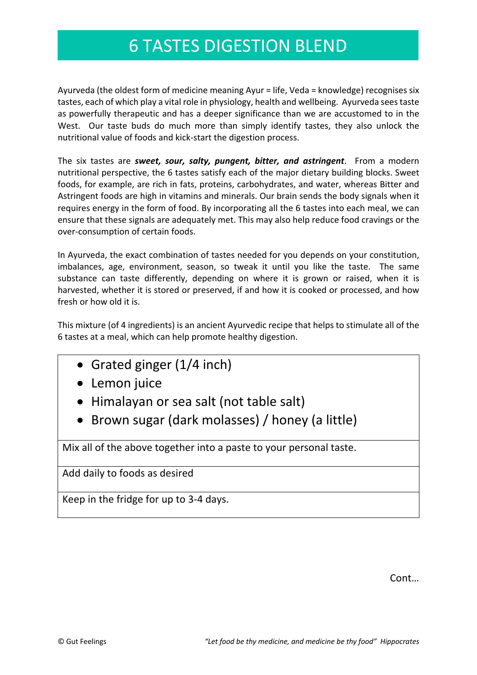### 6 TASTES DIGESTION BLEND

Ayurveda (the oldest form of medicine meaning Ayur = life, Veda = knowledge) recognises six tastes, each of which play a vital role in physiology, health and wellbeing. Ayurveda sees taste as powerfully therapeutic and has a deeper significance than we are accustomed to in the West. Our taste buds do much more than simply identify tastes, they also unlock the nutritional value of foods and kick-start the digestion process.

The six tastes are *sweet, sour, salty, pungent, bitter, and astringent*. From a modern nutritional perspective, the 6 tastes satisfy each of the major dietary building blocks. Sweet foods, for example, are rich in fats, proteins, carbohydrates, and water, whereas Bitter and Astringent foods are high in vitamins and minerals. Our brain sends the body signals when it requires energy in the form of food. By incorporating all the 6 tastes into each meal, we can ensure that these signals are adequately met. This may also help reduce food cravings or the over-consumption of certain foods.

In Ayurveda, the exact combination of tastes needed for you depends on your constitution, imbalances, age, environment, season, so tweak it until you like the taste. The same substance can taste differently, depending on where it is grown or raised, when it is harvested, whether it is stored or preserved, if and how it is cooked or processed, and how fresh or how old it is.

This mixture (of 4 ingredients) is an ancient Ayurvedic recipe that helps to stimulate all of the 6 tastes at a meal, which can help promote healthy digestion.

- Grated ginger (1/4 inch)
- Lemon juice
- Himalayan or sea salt (not table salt)
- Brown sugar (dark molasses) / honey (a little)

Mix all of the above together into a paste to your personal taste.

Add daily to foods as desired

Keep in the fridge for up to 3-4 days.

Cont…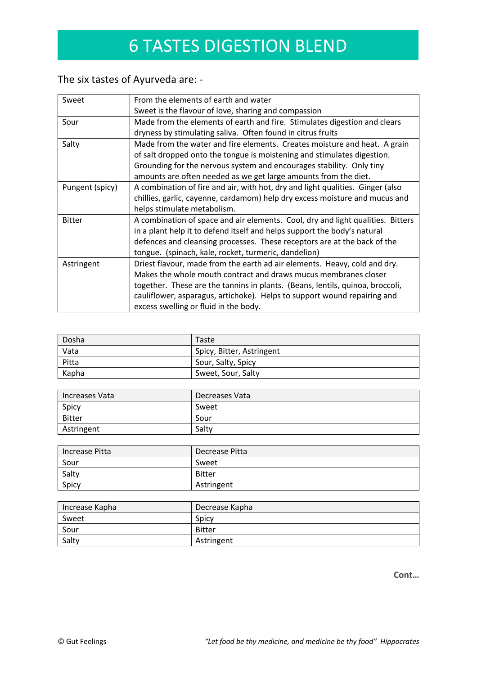# 6 TASTES DIGESTION BLEND

### The six tastes of Ayurveda are: -

| Sweet                                                                                             | From the elements of earth and water                                            |
|---------------------------------------------------------------------------------------------------|---------------------------------------------------------------------------------|
|                                                                                                   | Sweet is the flavour of love, sharing and compassion                            |
| Sour                                                                                              | Made from the elements of earth and fire. Stimulates digestion and clears       |
|                                                                                                   | dryness by stimulating saliva. Often found in citrus fruits                     |
| Salty                                                                                             | Made from the water and fire elements. Creates moisture and heat. A grain       |
|                                                                                                   | of salt dropped onto the tongue is moistening and stimulates digestion.         |
|                                                                                                   | Grounding for the nervous system and encourages stability. Only tiny            |
|                                                                                                   | amounts are often needed as we get large amounts from the diet.                 |
| A combination of fire and air, with hot, dry and light qualities. Ginger (also<br>Pungent (spicy) |                                                                                 |
|                                                                                                   | chillies, garlic, cayenne, cardamom) help dry excess moisture and mucus and     |
|                                                                                                   | helps stimulate metabolism.                                                     |
| <b>Bitter</b>                                                                                     | A combination of space and air elements. Cool, dry and light qualities. Bitters |
|                                                                                                   | in a plant help it to defend itself and helps support the body's natural        |
|                                                                                                   | defences and cleansing processes. These receptors are at the back of the        |
|                                                                                                   | tongue. (spinach, kale, rocket, turmeric, dandelion)                            |
| Astringent                                                                                        | Driest flavour, made from the earth ad air elements. Heavy, cold and dry.       |
|                                                                                                   | Makes the whole mouth contract and draws mucus membranes closer                 |
|                                                                                                   | together. These are the tannins in plants. (Beans, lentils, quinoa, broccoli,   |
|                                                                                                   | cauliflower, asparagus, artichoke). Helps to support wound repairing and        |
|                                                                                                   | excess swelling or fluid in the body.                                           |

| Dosha | Taste                     |
|-------|---------------------------|
| Vata  | Spicy, Bitter, Astringent |
| Pitta | Sour, Salty, Spicy        |
| Kapha | Sweet, Sour, Salty        |

| Increases Vata | Decreases Vata |
|----------------|----------------|
| Spicy          | Sweet          |
| <b>Bitter</b>  | Sour           |
| Astringent     | Saltv          |

| Increase Pitta | Decrease Pitta |
|----------------|----------------|
| Sour           | Sweet          |
| Salty          | <b>Bitter</b>  |
| Spicy          | Astringent     |

| Increase Kapha | Decrease Kapha |
|----------------|----------------|
| Sweet          | Spicy          |
| Sour           | <b>Bitter</b>  |
| Salty          | Astringent     |

**Cont…**